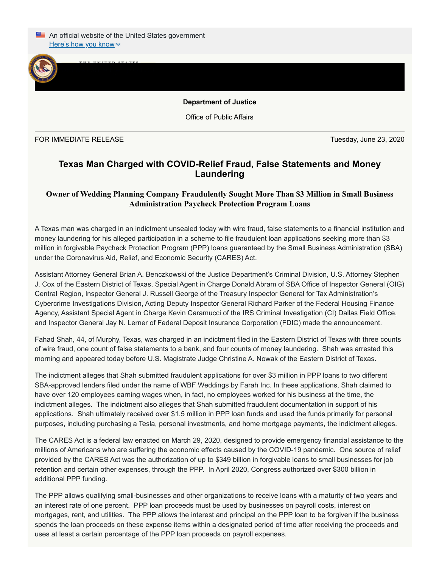

**Department of Justice**

Office of Public Affairs

FOR IMMEDIATE RELEASE Tuesday, June 23, 2020

## **Texas Man Charged with COVID-Relief Fraud, False Statements and Money Laundering**

## **Owner of Wedding Planning Company Fraudulently Sought More Than \$3 Million in Small Business Administration Paycheck Protection Program Loans**

A Texas man was charged in an indictment unsealed today with wire fraud, false statements to a financial institution and money laundering for his alleged participation in a scheme to file fraudulent loan applications seeking more than \$3 million in forgivable Paycheck Protection Program (PPP) loans guaranteed by the Small Business Administration (SBA) under the Coronavirus Aid, Relief, and Economic Security (CARES) Act.

Assistant Attorney General Brian A. Benczkowski of the Justice Department's Criminal Division, U.S. Attorney Stephen J. Cox of the Eastern District of Texas, Special Agent in Charge Donald Abram of SBA Office of Inspector General (OIG) Central Region, Inspector General J. Russell George of the Treasury Inspector General for Tax Administration's Cybercrime Investigations Division, Acting Deputy Inspector General Richard Parker of the Federal Housing Finance Agency, Assistant Special Agent in Charge Kevin Caramucci of the IRS Criminal Investigation (CI) Dallas Field Office, and Inspector General Jay N. Lerner of Federal Deposit Insurance Corporation (FDIC) made the announcement.

Fahad Shah, 44, of Murphy, Texas, was charged in an indictment filed in the Eastern District of Texas with three counts of wire fraud, one count of false statements to a bank, and four counts of money laundering. Shah was arrested this morning and appeared today before U.S. Magistrate Judge Christine A. Nowak of the Eastern District of Texas.

The indictment alleges that Shah submitted fraudulent applications for over \$3 million in PPP loans to two different SBA-approved lenders filed under the name of WBF Weddings by Farah Inc. In these applications, Shah claimed to have over 120 employees earning wages when, in fact, no employees worked for his business at the time, the indictment alleges. The indictment also alleges that Shah submitted fraudulent documentation in support of his applications. Shah ultimately received over \$1.5 million in PPP loan funds and used the funds primarily for personal purposes, including purchasing a Tesla, personal investments, and home mortgage payments, the indictment alleges.

The CARES Act is a federal law enacted on March 29, 2020, designed to provide emergency financial assistance to the millions of Americans who are suffering the economic effects caused by the COVID-19 pandemic. One source of relief provided by the CARES Act was the authorization of up to \$349 billion in forgivable loans to small businesses for job retention and certain other expenses, through the PPP. In April 2020, Congress authorized over \$300 billion in additional PPP funding.

The PPP allows qualifying small-businesses and other organizations to receive loans with a maturity of two years and an interest rate of one percent. PPP loan proceeds must be used by businesses on payroll costs, interest on mortgages, rent, and utilities. The PPP allows the interest and principal on the PPP loan to be forgiven if the business spends the loan proceeds on these expense items within a designated period of time after receiving the proceeds and uses at least a certain percentage of the PPP loan proceeds on payroll expenses.